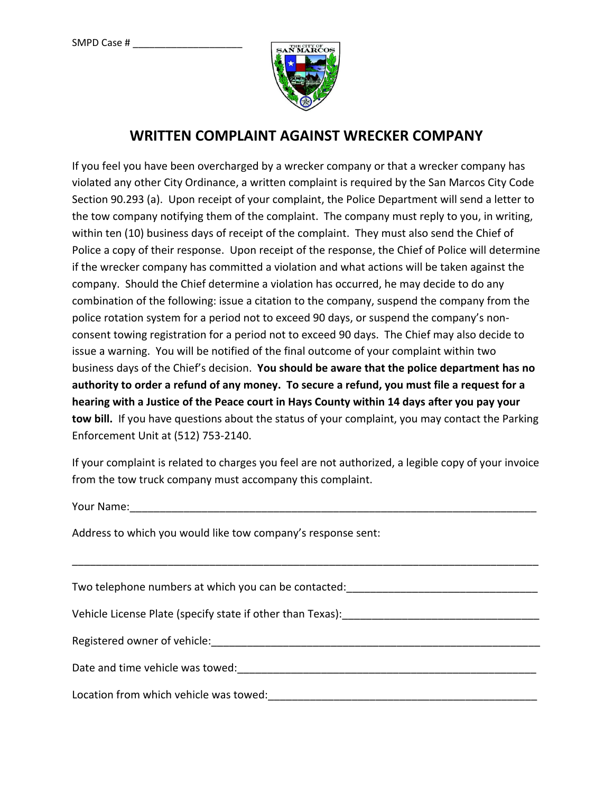

## **WRITTEN COMPLAINT AGAINST WRECKER COMPANY**

If you feel you have been overcharged by a wrecker company or that a wrecker company has violated any other City Ordinance, a written complaint is required by the San Marcos City Code Section 90.293 (a). Upon receipt of your complaint, the Police Department will send a letter to the tow company notifying them of the complaint. The company must reply to you, in writing, within ten (10) business days of receipt of the complaint. They must also send the Chief of Police a copy of their response. Upon receipt of the response, the Chief of Police will determine if the wrecker company has committed a violation and what actions will be taken against the company. Should the Chief determine a violation has occurred, he may decide to do any combination of the following: issue a citation to the company, suspend the company from the police rotation system for a period not to exceed 90 days, or suspend the company's nonconsent towing registration for a period not to exceed 90 days. The Chief may also decide to issue a warning. You will be notified of the final outcome of your complaint within two business days of the Chief's decision. **You should be aware that the police department has no authority to order a refund of any money. To secure a refund, you must file a request for a hearing with a Justice of the Peace court in Hays County within 14 days after you pay your tow bill.** If you have questions about the status of your complaint, you may contact the Parking Enforcement Unit at (512) 753-2140.

If your complaint is related to charges you feel are not authorized, a legible copy of your invoice from the tow truck company must accompany this complaint.

Your Name: when the set of the set of the set of the set of the set of the set of the set of the set of the set of the set of the set of the set of the set of the set of the set of the set of the set of the set of the set

Address to which you would like tow company's response sent:

| Two telephone numbers at which you can be contacted:                                                                                                                                                                          |
|-------------------------------------------------------------------------------------------------------------------------------------------------------------------------------------------------------------------------------|
| Vehicle License Plate (specify state if other than Texas):                                                                                                                                                                    |
| Registered owner of vehicle: Notified a state of the state of the state of the state of the state of the state of the state of the state of the state of the state of the state of the state of the state of the state of the |
| Date and time vehicle was towed: Date and time vehicle was towed:                                                                                                                                                             |
| Location from which vehicle was towed:                                                                                                                                                                                        |